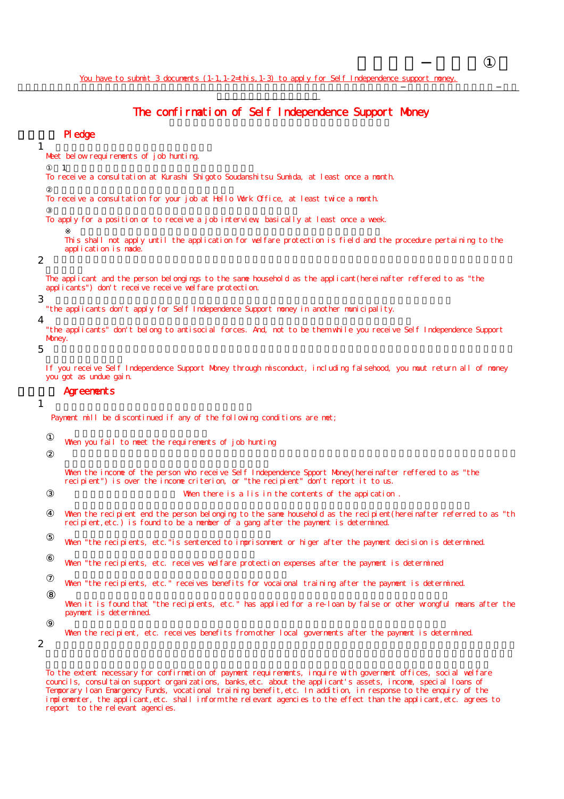# The confirmation of Self Independence Support Money

## 誓約事項 Pledge

Meet below requirements of job hunting.

 $\mathbf 1$ 

1

To receive a consultation at Kurashi Shigoto Soudanshitsu Sumida, at least once a month.

To receive a consultation for your job at Hello Work Office, at least twice a month.

To apply for a position or to receive a job interview, basically at least once a week.

This shall not apply until the application for welfare protection is field and the procedure pertaining to the application is made.

### 2

The applicant and the person belongings to the same household as the applicant(hereinafter reffered to as "the applicants") don't receive receive welfare protection.

### 3

"the applicants don't apply for Self Independence Support money in another municipality.

4

"the applicants" don't belong to antisocial forces. And, not to be them while you receive Self Independence Support Money.

5

If you receive Self Independence Support Money through misconduct, including falsehood, you muut return all of money you got as undue gain.

## **Agreements**

### 1

Payment mill be discontinued if any of the following conditions are met;

When you fail to meet the requirements of job hunting

When the income of the person who receive Self Independence Spport Money(hereinafter reffered to as "the recipient") is over the income criterion, or "the recipient" don't report it to us. When there is a lis in the contents of the appication.

When the recipient end the person belonging to the same household as the recipient (hereinafter referred to as "th recipient,etc.) is found to be a member of a gang after the payment is determined.

When "the recipients, etc." is sentenced to imprisonment or higer after the payment decision is determined.

When "the recipients, etc. receives welfare protection expenses after the payment is determined

When "the recipients, etc." receives benefits for vocaional training after the payment is determined.

When it is found that "the recipients, etc." has applied for a re-loan by false or other wrongful means after the payment is determined.

When the recipient, etc. receives benefits from other local governents after the payment is determined.

2

To the extent necessary for confirmetion of payment requirements, inquire with goverment offices, social welfare councils, consultaion support organizations, banks,etc. about the applicant's assets, income, special loans of Temporary loan Emargency Funds, vocational training benefit,etc. In addition, in response to the enquiry of the implementer, the applicant, etc. shall inform the relevant agencies to the effect than the applicant, etc. agrees to report to the relevant agencies.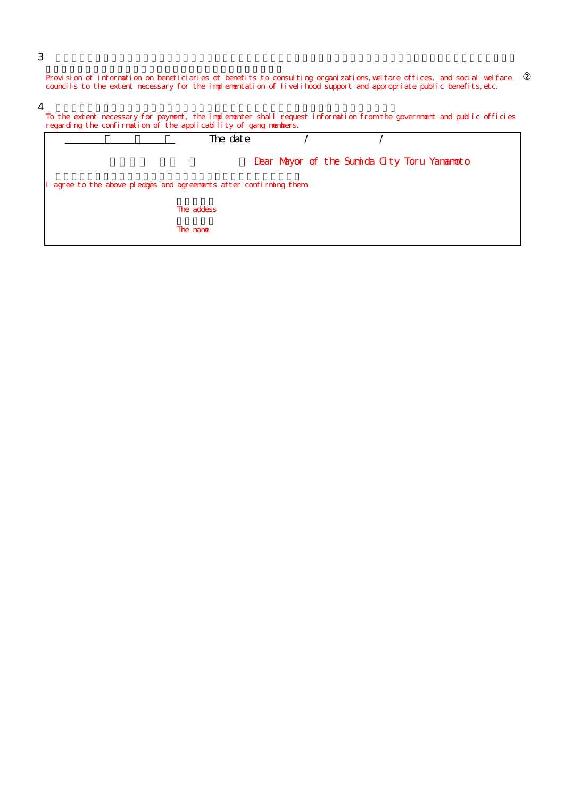Provision of information on beneficiaries of benefits to consulting organizations,welfare offices, and social welfare councils to the extent necessary for the implementation of livelihood support and appropriate public benefits,etc.

4

3

| To the extent necessary for payment, the implementer shall request information from the government and public officies<br>regarding the confirmation of the applicability of gang nembers. |            |  |  |  |
|--------------------------------------------------------------------------------------------------------------------------------------------------------------------------------------------|------------|--|--|--|
|                                                                                                                                                                                            | The date   |  |  |  |
| Dear Mayor of the Sumida City Toru Yananoto                                                                                                                                                |            |  |  |  |
| agree to the above pledges and agreements after confirming them                                                                                                                            |            |  |  |  |
|                                                                                                                                                                                            | The addess |  |  |  |
|                                                                                                                                                                                            | The name   |  |  |  |